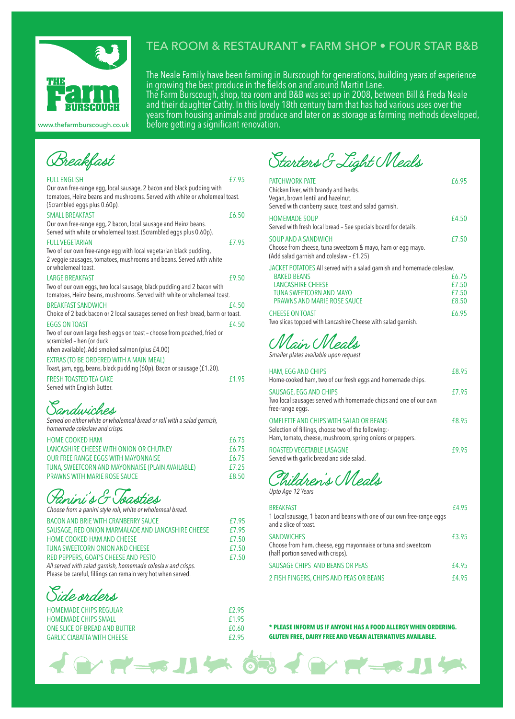

# TEA ROOM & RESTAURANT • FARM SHOP • FOUR STAR B&B

The Neale Family have been farming in Burscough for generations, building years of experience in growing the best produce in the fields on and around Martin Lane. The Farm Burscough, shop, tea room and B&B was set up in 2008, between Bill & Freda Neale and their daughter Cathy. In this lovely 18th century barn that has had various uses over the years from housing animals and produce and later on as storage as farming methods developed, before getting a significant renovation.

www.thefarmburscough.co.uk

| Breakfast |
|-----------|
|-----------|

| <b>FULL ENGLISH</b>                                                                                                                                                                 | £7.95 |
|-------------------------------------------------------------------------------------------------------------------------------------------------------------------------------------|-------|
| Our own free-range egg, local sausage, 2 bacon and black pudding with<br>tomatoes, Heinz beans and mushrooms. Served with white or wholemeal toast.<br>(Scrambled eggs plus 0.60p). |       |
| <b>SMALL BREAKFAST</b>                                                                                                                                                              | £6.50 |
| Our own free-range egg, 2 bacon, local sausage and Heinz beans.<br>Served with white or wholemeal toast. (Scrambled eggs plus 0.60p).                                               |       |
| <b>FULL VEGETARIAN</b>                                                                                                                                                              | £7.95 |
| Two of our own free-range egg with local vegetarian black pudding,<br>2 veggie sausages, tomatoes, mushrooms and beans. Served with white<br>or wholemeal toast.                    |       |
| <b>LARGE BREAKFAST</b>                                                                                                                                                              | £9.50 |
| Two of our own eggs, two local sausage, black pudding and 2 bacon with<br>tomatoes, Heinz beans, mushrooms. Served with white or wholemeal toast.                                   |       |
| <b>BREAKFAST SANDWICH</b>                                                                                                                                                           | £4.50 |
| Choice of 2 back bacon or 2 local sausages served on fresh bread, barm or toast.                                                                                                    |       |
| <b>EGGS ON TOAST</b>                                                                                                                                                                | £4.50 |
| Two of our own large fresh eggs on toast – choose from poached, fried or<br>scrambled - hen (or duck                                                                                |       |
| when available). Add smoked salmon (plus £4.00)                                                                                                                                     |       |
| EXTRAS (TO BE ORDERED WITH A MAIN MEAL)                                                                                                                                             |       |
| Toast, jam, egg, beans, black pudding (60p). Bacon or sausage (£1.20).                                                                                                              |       |
| <b>FRESH TOASTED TEA CAKE</b>                                                                                                                                                       | £1.95 |
| Served with English Butter.                                                                                                                                                         |       |
|                                                                                                                                                                                     |       |

Sandwiches

| Served on either white or wholemeal bread or roll with a salad garnish,<br>homemade coleslaw and crisps. |       |
|----------------------------------------------------------------------------------------------------------|-------|
| <b>HOME COOKED HAM</b>                                                                                   | £6.75 |
| LANCASHIRE CHEESE WITH ONION OR CHUTNEY                                                                  | £6.75 |
| OUR FREE RANGE EGGS WITH MAYONNAISE                                                                      | £6.75 |
| TUNA, SWEETCORN AND MAYONNAISE (PLAIN AVAILABLE)                                                         | £7.25 |
| <b>PRAWNS WITH MARIE ROSE SAUCE</b>                                                                      | £8.50 |
|                                                                                                          |       |

(*Painini's & G Toasties* 

| Choose from a panini style roll, white or wholemeal bread.   |       |
|--------------------------------------------------------------|-------|
| BACON AND BRIE WITH CRANBERRY SAUCE                          | £7.95 |
| SAUSAGE, RED ONION MARMALADE AND LANCASHIRE CHEESE           | £7.95 |
| HOME COOKED HAM AND CHEESE                                   | £7.50 |
| TUNA SWEETCORN ONION AND CHEESE                              | £7.50 |
| RED PEPPERS, GOAT'S CHEESE AND PESTO                         | £7.50 |
| All served with salad garnish, homemade coleslaw and crisps. |       |

Please be careful, fillings can remain very hot when served.



| <b>HOMEMADE CHIPS REGULAR</b>      | £2.95 |
|------------------------------------|-------|
| <b>HOMEMADE CHIPS SMALL</b>        | £1.95 |
| ONE SLICE OF BREAD AND BUTTER      | £0.60 |
| <b>GARLIC CIABATTA WITH CHEESE</b> | £2.95 |

Starters & Light Meals

| <b>PATCHWORK PATE</b><br>Chicken liver, with brandy and herbs.<br>Vegan, brown lentil and hazelnut.<br>Served with cranberry sauce, toast and salad garnish.                                     | £6.95                            |
|--------------------------------------------------------------------------------------------------------------------------------------------------------------------------------------------------|----------------------------------|
| <b>HOMEMADE SOUP</b><br>Served with fresh local bread - See specials board for details.                                                                                                          | £4.50                            |
| SOUP AND A SANDWICH<br>Choose from cheese, tuna sweetcorn & mayo, ham or egg mayo.<br>(Add salad garnish and coleslaw - £1.25)                                                                   | £7.50                            |
| JACKET POTATOES All served with a salad garnish and homemade coleslaw.<br><b>BAKED BEANS</b><br><b>LANCASHIRE CHEESE</b><br><b>TUNA SWEETCORN AND MAYO</b><br><b>PRAWNS AND MARIE ROSE SAUCE</b> | £6.75<br>£7.50<br>£7.50<br>£8.50 |
| <b>CHEESE ON TOAST</b><br>Two slices topped with Lancashire Cheese with salad garnish.                                                                                                           | £6.95                            |
| Main Meals<br>Smaller plates available upon request                                                                                                                                              |                                  |

| <b>HAM, EGG AND CHIPS</b><br>Home-cooked ham, two of our fresh eggs and homemade chips.                                                                    | £8.95 |
|------------------------------------------------------------------------------------------------------------------------------------------------------------|-------|
| SAUSAGE, EGG AND CHIPS<br>Two local sausages served with homemade chips and one of our own<br>free-range eggs.                                             | £7.95 |
| OMELETTE AND CHIPS WITH SALAD OR BEANS<br>Selection of fillings, choose two of the following:-<br>Ham, tomato, cheese, mushroom, spring onions or peppers. | £8.95 |
| ROASTED VEGETABLE LASAGNE<br>Served with garlic bread and side salad.                                                                                      | £995  |

Children's Meals *Upto Age 12 Years*

| <b>BREAKFAST</b><br>1 Local sausage, 1 bacon and beans with one of our own free-range eggs<br>and a slice of toast.      | £4.95 |
|--------------------------------------------------------------------------------------------------------------------------|-------|
| <b>SANDWICHES</b><br>Choose from ham, cheese, egg mayonnaise or tuna and sweetcorn<br>(half portion served with crisps). | £3.95 |
| SAUSAGE CHIPS AND BEANS OR PEAS                                                                                          | £4.95 |
| 2 FISH FINGERS, CHIPS AND PEAS OR BEANS                                                                                  | £495  |

**\* PLEASE INFORM US IF ANYONE HAS A FOOD ALLERGY WHEN ORDERING. GLUTEN FREE, DAIRY FREE AND VEGAN ALTERNATIVES AVAILABLE.**